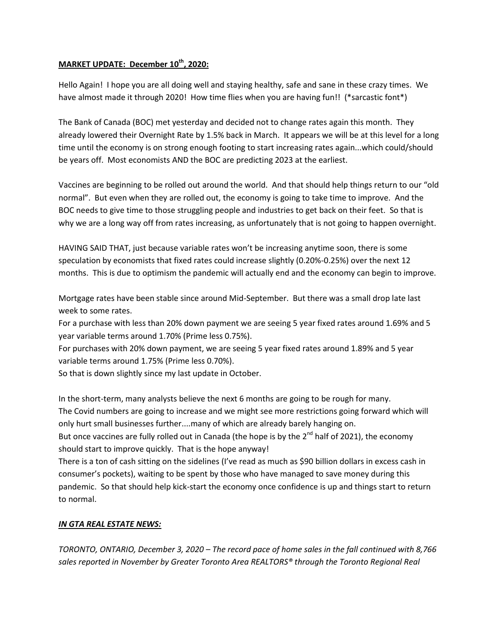## **MARKET UPDATE: December 10th, 2020:**

Hello Again! I hope you are all doing well and staying healthy, safe and sane in these crazy times. We have almost made it through 2020! How time flies when you are having fun!! (\*sarcastic font\*)

The Bank of Canada (BOC) met yesterday and decided not to change rates again this month. They already lowered their Overnight Rate by 1.5% back in March. It appears we will be at this level for a long time until the economy is on strong enough footing to start increasing rates again...which could/should be years off. Most economists AND the BOC are predicting 2023 at the earliest.

Vaccines are beginning to be rolled out around the world. And that should help things return to our "old normal". But even when they are rolled out, the economy is going to take time to improve. And the BOC needs to give time to those struggling people and industries to get back on their feet. So that is why we are a long way off from rates increasing, as unfortunately that is not going to happen overnight.

HAVING SAID THAT, just because variable rates won't be increasing anytime soon, there is some speculation by economists that fixed rates could increase slightly (0.20%-0.25%) over the next 12 months. This is due to optimism the pandemic will actually end and the economy can begin to improve.

Mortgage rates have been stable since around Mid-September. But there was a small drop late last week to some rates.

For a purchase with less than 20% down payment we are seeing 5 year fixed rates around 1.69% and 5 year variable terms around 1.70% (Prime less 0.75%).

For purchases with 20% down payment, we are seeing 5 year fixed rates around 1.89% and 5 year variable terms around 1.75% (Prime less 0.70%).

So that is down slightly since my last update in October.

In the short-term, many analysts believe the next 6 months are going to be rough for many. The Covid numbers are going to increase and we might see more restrictions going forward which will only hurt small businesses further....many of which are already barely hanging on. But once vaccines are fully rolled out in Canada (the hope is by the  $2^{nd}$  half of 2021), the economy

should start to improve quickly. That is the hope anyway!

There is a ton of cash sitting on the sidelines (I've read as much as \$90 billion dollars in excess cash in consumer's pockets), waiting to be spent by those who have managed to save money during this pandemic. So that should help kick-start the economy once confidence is up and things start to return to normal.

## *IN GTA REAL ESTATE NEWS:*

*TORONTO, ONTARIO, December 3, 2020 – The record pace of home sales in the fall continued with 8,766 sales reported in November by Greater Toronto Area REALTORS® through the Toronto Regional Real*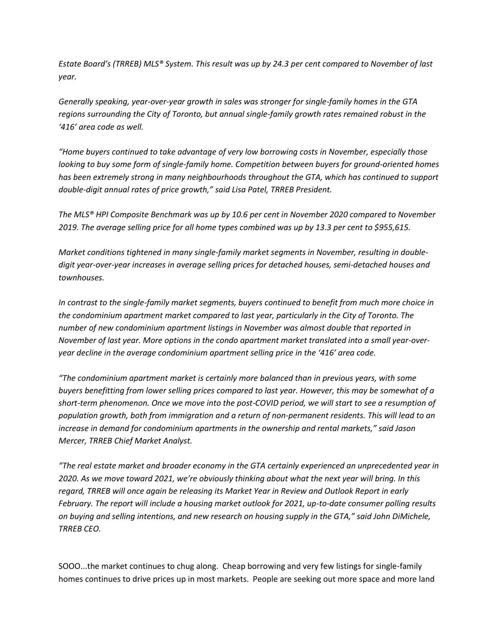*Estate Board's (TRREB) MLS® System. This result was up by 24.3 per cent compared to November of last year.* 

*Generally speaking, year-over-year growth in sales was stronger for single-family homes in the GTA regions surrounding the City of Toronto, but annual single-family growth rates remained robust in the '416' area code as well.* 

*"Home buyers continued to take advantage of very low borrowing costs in November, especially those looking to buy some form of single-family home. Competition between buyers for ground-oriented homes has been extremely strong in many neighbourhoods throughout the GTA, which has continued to support double-digit annual rates of price growth," said Lisa Patel, TRREB President.* 

*The MLS® HPI Composite Benchmark was up by 10.6 per cent in November 2020 compared to November 2019. The average selling price for all home types combined was up by 13.3 per cent to \$955,615.* 

*Market conditions tightened in many single-family market segments in November, resulting in doubledigit year-over-year increases in average selling prices for detached houses, semi-detached houses and townhouses.* 

*In contrast to the single-family market segments, buyers continued to benefit from much more choice in the condominium apartment market compared to last year, particularly in the City of Toronto. The number of new condominium apartment listings in November was almost double that reported in November of last year. More options in the condo apartment market translated into a small year-overyear decline in the average condominium apartment selling price in the '416' area code.* 

*"The condominium apartment market is certainly more balanced than in previous years, with some buyers benefitting from lower selling prices compared to last year. However, this may be somewhat of a short-term phenomenon. Once we move into the post-COVID period, we will start to see a resumption of population growth, both from immigration and a return of non-permanent residents. This will lead to an increase in demand for condominium apartments in the ownership and rental markets," said Jason Mercer, TRREB Chief Market Analyst.* 

*"The real estate market and broader economy in the GTA certainly experienced an unprecedented year in 2020. As we move toward 2021, we're obviously thinking about what the next year will bring. In this regard, TRREB will once again be releasing its Market Year in Review and Outlook Report in early February. The report will include a housing market outlook for 2021, up-to-date consumer polling results on buying and selling intentions, and new research on housing supply in the GTA," said John DiMichele, TRREB CEO.*

SOOO...the market continues to chug along. Cheap borrowing and very few listings for single-family homes continues to drive prices up in most markets. People are seeking out more space and more land